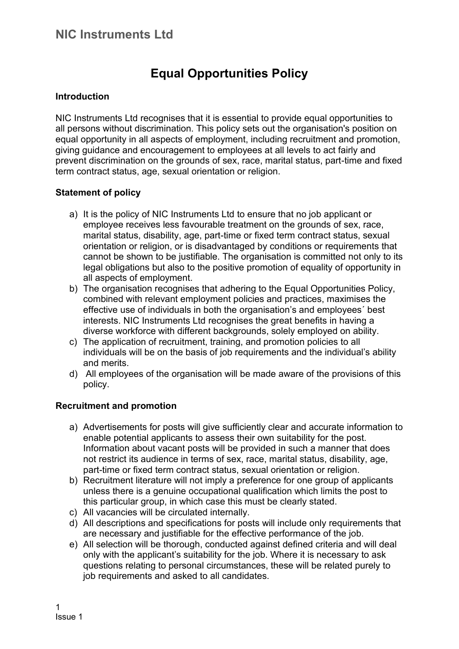# **Equal Opportunities Policy**

#### **Introduction**

NIC Instruments Ltd recognises that it is essential to provide equal opportunities to all persons without discrimination. This policy sets out the organisation's position on equal opportunity in all aspects of employment, including recruitment and promotion, giving guidance and encouragement to employees at all levels to act fairly and prevent discrimination on the grounds of sex, race, marital status, part-time and fixed term contract status, age, sexual orientation or religion.

#### **Statement of policy**

- a) It is the policy of NIC Instruments Ltd to ensure that no job applicant or employee receives less favourable treatment on the grounds of sex, race, marital status, disability, age, part-time or fixed term contract status, sexual orientation or religion, or is disadvantaged by conditions or requirements that cannot be shown to be justifiable. The organisation is committed not only to its legal obligations but also to the positive promotion of equality of opportunity in all aspects of employment.
- b) The organisation recognises that adhering to the Equal Opportunities Policy, combined with relevant employment policies and practices, maximises the effective use of individuals in both the organisation's and employees´ best interests. NIC Instruments Ltd recognises the great benefits in having a diverse workforce with different backgrounds, solely employed on ability.
- c) The application of recruitment, training, and promotion policies to all individuals will be on the basis of job requirements and the individual's ability and merits.
- d) All employees of the organisation will be made aware of the provisions of this policy.

## **Recruitment and promotion**

- a) Advertisements for posts will give sufficiently clear and accurate information to enable potential applicants to assess their own suitability for the post. Information about vacant posts will be provided in such a manner that does not restrict its audience in terms of sex, race, marital status, disability, age, part-time or fixed term contract status, sexual orientation or religion.
- b) Recruitment literature will not imply a preference for one group of applicants unless there is a genuine occupational qualification which limits the post to this particular group, in which case this must be clearly stated.
- c) All vacancies will be circulated internally.
- d) All descriptions and specifications for posts will include only requirements that are necessary and justifiable for the effective performance of the job.
- e) All selection will be thorough, conducted against defined criteria and will deal only with the applicant's suitability for the job. Where it is necessary to ask questions relating to personal circumstances, these will be related purely to job requirements and asked to all candidates.